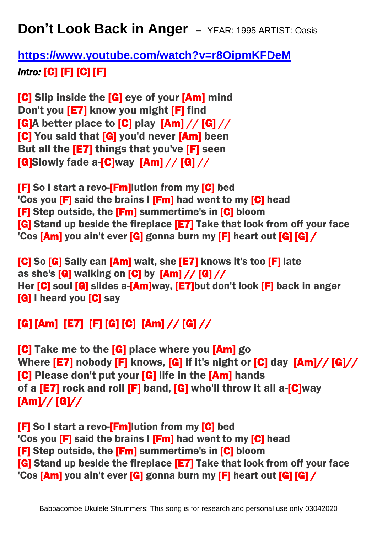**Don't Look Back in Anger –** YEAR: 1995 ARTIST: Oasis

**<https://www.youtube.com/watch?v=r8OipmKFDeM>** *Intro:* [C] [F] [C] [F]

[C] Slip inside the [G] eye of your [Am] mind Don't you [E7] know you might [F] find  $[G]$ A better place to  $[G]$  play  $[Am]/[G]//$ [C] You said that [G] you'd never [Am] been But all the [E7] things that you've [F] seen  $[G]$ Slowly fade a- $[G]$ way  $[Am]/[G]//$ 

[F] So I start a revo-[Fm]lution from my [C] bed 'Cos you [F] said the brains I [Fm] had went to my [C] head [F] Step outside, the [Fm] summertime's in [C] bloom [G] Stand up beside the fireplace [E7] Take that look from off your face 'Cos [Am] you ain't ever [G] gonna burn my [F] heart out [G] [G] /

[C] So [G] Sally can [Am] wait, she [E7] knows it's too [F] late as she's [G] walking on [C] by [Am] // [G] // Her [C] soul [G] slides a-[Am]way, [E7]but don't look [F] back in anger [G] I heard you [C] say

## [G] [Am] [E7] [F] [G] [C] [Am] // [G] //

[C] Take me to the [G] place where you [Am] go Where **[E7]** nobody **[F]** knows, **[G]** if it's night or **[C]** day **[Am]// [G]//** [C] Please don't put your [G] life in the [Am] hands of a **[E7]** rock and roll **[F]** band, **[G]** who'll throw it all a-**[C]**way [Am]// [G]//

[F] So I start a revo-[Fm]lution from my [C] bed 'Cos you **[F]** said the brains **I [Fm]** had went to my **[C]** head [F] Step outside, the [Fm] summertime's in [C] bloom [G] Stand up beside the fireplace [E7] Take that look from off your face 'Cos [Am] you ain't ever [G] gonna burn my [F] heart out [G] [G] /